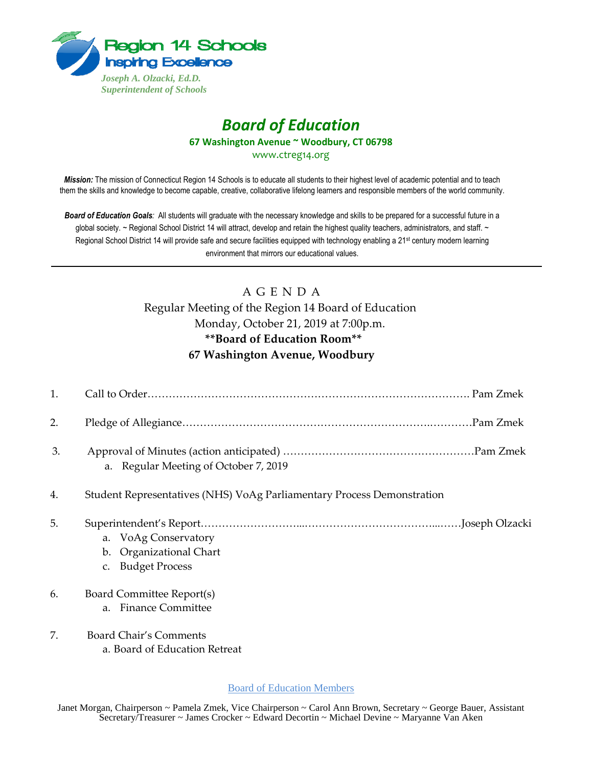

## *Board of Education* **67 Washington Avenue ~ Woodbury, CT 06798**

www.ctreg14.org

*Mission:* The mission of Connecticut Region 14 Schools is to educate all students to their highest level of academic potential and to teach them the skills and knowledge to become capable, creative, collaborative lifelong learners and responsible members of the world community.

*Board of Education Goals:* All students will graduate with the necessary knowledge and skills to be prepared for a successful future in a global society. ~ Regional School District 14 will attract, develop and retain the highest quality teachers, administrators, and staff. ~ Regional School District 14 will provide safe and secure facilities equipped with technology enabling a 21<sup>st</sup> century modern learning environment that mirrors our educational values.

## A G E N D A

## Regular Meeting of the Region 14 Board of Education Monday, October 21, 2019 at 7:00p.m. **\*\*Board of Education Room\*\* 67 Washington Avenue, Woodbury**

| 1. |                                                                        |
|----|------------------------------------------------------------------------|
| 2. |                                                                        |
| 3. | a. Regular Meeting of October 7, 2019                                  |
| 4. | Student Representatives (NHS) VoAg Parliamentary Process Demonstration |
| 5. | a. VoAg Conservatory<br>b. Organizational Chart<br>c. Budget Process   |
| 6. | Board Committee Report(s)<br>a. Finance Committee                      |
| 7. | <b>Board Chair's Comments</b><br>a. Board of Education Retreat         |

Board of Education Members

Janet Morgan, Chairperson ~ Pamela Zmek, Vice Chairperson ~ Carol Ann Brown, Secretary ~ George Bauer, Assistant Secretary/Treasurer ~ James Crocker ~ Edward Decortin ~ Michael Devine ~ Maryanne Van Aken